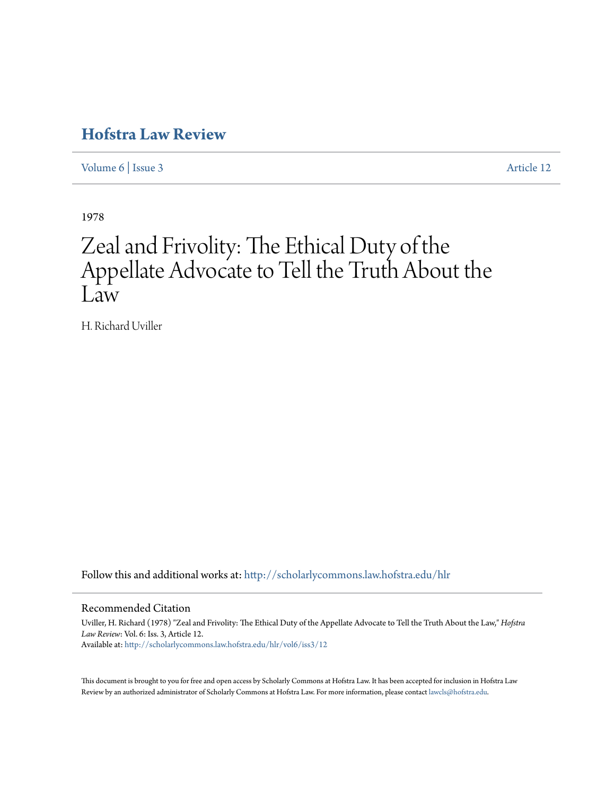# **[Hofstra Law Review](http://scholarlycommons.law.hofstra.edu/hlr?utm_source=scholarlycommons.law.hofstra.edu%2Fhlr%2Fvol6%2Fiss3%2F12&utm_medium=PDF&utm_campaign=PDFCoverPages)**

[Volume 6](http://scholarlycommons.law.hofstra.edu/hlr/vol6?utm_source=scholarlycommons.law.hofstra.edu%2Fhlr%2Fvol6%2Fiss3%2F12&utm_medium=PDF&utm_campaign=PDFCoverPages) | [Issue 3](http://scholarlycommons.law.hofstra.edu/hlr/vol6/iss3?utm_source=scholarlycommons.law.hofstra.edu%2Fhlr%2Fvol6%2Fiss3%2F12&utm_medium=PDF&utm_campaign=PDFCoverPages) [Article 12](http://scholarlycommons.law.hofstra.edu/hlr/vol6/iss3/12?utm_source=scholarlycommons.law.hofstra.edu%2Fhlr%2Fvol6%2Fiss3%2F12&utm_medium=PDF&utm_campaign=PDFCoverPages)

1978

# Zeal and Frivolity: The Ethical Duty of the Appellate Advocate to Tell the Truth About the Law

H. Richard Uviller

Follow this and additional works at: [http://scholarlycommons.law.hofstra.edu/hlr](http://scholarlycommons.law.hofstra.edu/hlr?utm_source=scholarlycommons.law.hofstra.edu%2Fhlr%2Fvol6%2Fiss3%2F12&utm_medium=PDF&utm_campaign=PDFCoverPages)

# Recommended Citation

Uviller, H. Richard (1978) "Zeal and Frivolity: The Ethical Duty of the Appellate Advocate to Tell the Truth About the Law," *Hofstra Law Review*: Vol. 6: Iss. 3, Article 12. Available at: [http://scholarlycommons.law.hofstra.edu/hlr/vol6/iss3/12](http://scholarlycommons.law.hofstra.edu/hlr/vol6/iss3/12?utm_source=scholarlycommons.law.hofstra.edu%2Fhlr%2Fvol6%2Fiss3%2F12&utm_medium=PDF&utm_campaign=PDFCoverPages)

This document is brought to you for free and open access by Scholarly Commons at Hofstra Law. It has been accepted for inclusion in Hofstra Law Review by an authorized administrator of Scholarly Commons at Hofstra Law. For more information, please contact [lawcls@hofstra.edu](mailto:lawcls@hofstra.edu).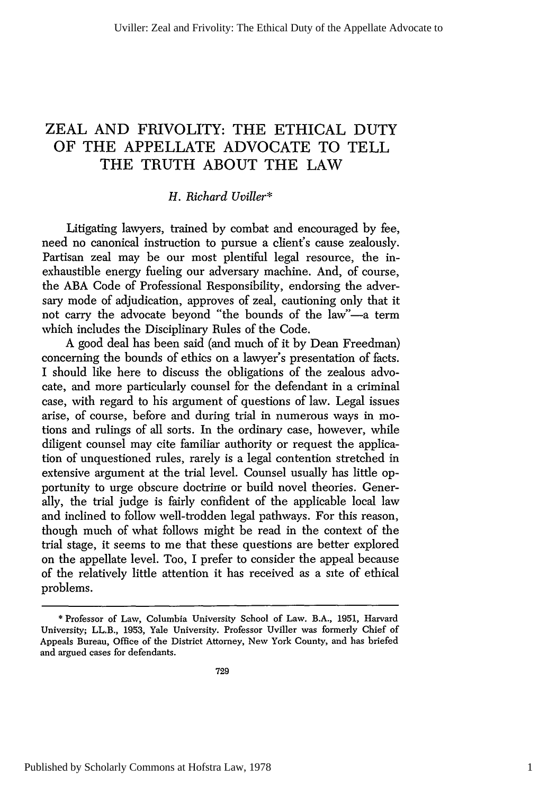# ZEAL AND FRIVOLITY: THE ETHICAL DUTY OF THE APPELLATE ADVOCATE TO TELL THE TRUTH ABOUT THE LAW

# *H. Richard Uviller\**

Litigating lawyers, trained by combat and encouraged by fee, need no canonical instruction to pursue a client's cause zealously. Partisan zeal may be our most plentiful legal resource, the inexhaustible energy fueling our adversary machine. And, of course, the ABA Code of Professional Responsibility, endorsing the adversary mode of adjudication, approves of zeal, cautioning only that it not carry the advocate beyond "the bounds of the law"-a term which includes the Disciplinary Rules of the Code.

A good deal has been said (and much of it by Dean Freedman) concerning the bounds of ethics on a lawyer's presentation of facts. I should like here to discuss the obligations of the zealous advocate, and more particularly counsel for the defendant in a criminal case, with regard to his argument of questions of law. Legal issues arise, of course, before and during trial in numerous ways in motions and rulings of all sorts. In the ordinary case, however, while diligent counsel may cite familiar authority or request the application of unquestioned rules, rarely is a legal contention stretched in extensive argument at the trial level. Counsel usually has little opportunity to urge obscure doctrine or build novel theories. Generally, the trial judge is fairly confident of the applicable local law and inclined to follow well-trodden legal pathways. For this reason, though much of what follows might be read in the context of the trial stage, it seems to me that these questions are better explored on the appellate level. Too, I prefer to consider the appeal because of the relatively little attention it has received as a site of ethical problems.

<sup>\*</sup> Professor of Law, Columbia University School of Law. B.A., 1951, Harvard University; LL.B., 1953, Yale University. Professor Uviller was formerly Chief of Appeals Bureau, Office of the District Attorney, New York County, and has briefed and argued cases for defendants.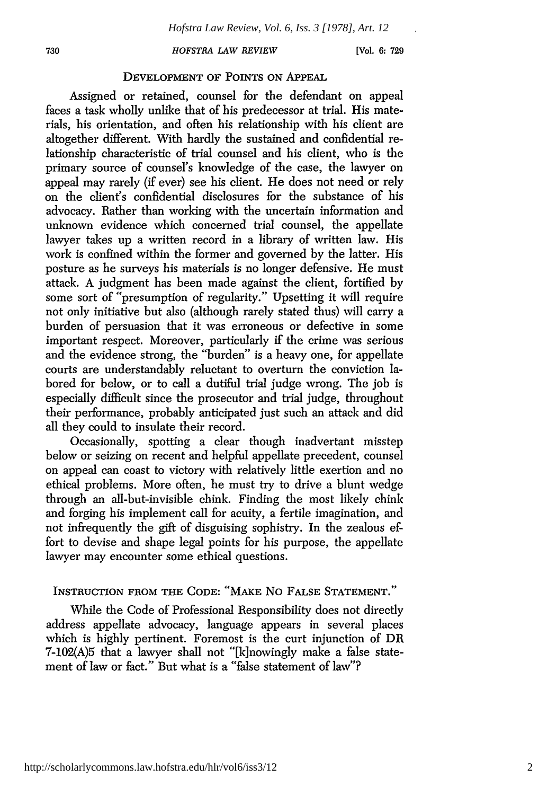## **DEVELOPMENT** OF **POINTS ON APPEAL**

Assigned or retained, counsel for the defendant on appeal faces a task wholly unlike that of his predecessor at trial. His materials, his orientation, and often his relationship with his client are altogether different. With hardly the sustained and confidential relationship characteristic of trial counsel and his client, who is the primary source of counsel's knowledge of the case, the lawyer on appeal may rarely (if ever) see his client. He does not need or rely on the client's confidential disclosures for the substance of his advocacy. Rather than working with the uncertain information and unknown evidence which concerned trial counsel, the appellate lawyer takes up a written record in a library of written law. His work is confined within the former and governed by the latter. His posture as he surveys his materials is no longer defensive. He must attack. A judgment has been made against the client, fortified by some sort of "presumption of regularity." Upsetting it will require not only initiative but also (although rarely stated thus) will carry a burden of persuasion that it was erroneous or defective in some important respect. Moreover, particularly if the crime was serious and the evidence strong, the "burden" is a heavy one, for appellate courts are understandably reluctant to overturn the conviction labored for below, or to call a dutiful trial judge wrong. The job is especially difficult since the prosecutor and trial judge, throughout their performance, probably anticipated just such an attack and did all they could to insulate their record.

Occasionally, spotting a clear though inadvertant misstep below or seizing on recent and helpful appellate precedent, counsel on appeal can coast to victory with relatively little exertion and no ethical problems. More often, he must try to drive a blunt wedge through an all-but-invisible chink. Finding the most likely chink and forging his implement call for acuity, a fertile imagination, and not infrequently the gift of disguising sophistry. In the zealous effort to devise and shape legal points for his purpose, the appellate lawyer may encounter some ethical questions.

# INSTRUCTION FROM THE **CODE:** "MAKE No **FALSE STATEMENT."**

While the Code of Professional Responsibility does not directly address appellate advocacy, language appears in several places which is highly pertinent. Foremost is the curt injunction of DR 7-102(A)5 that a lawyer shall not "[kinowingly make a false statement of law or fact." But what is a "false statement of law"?

730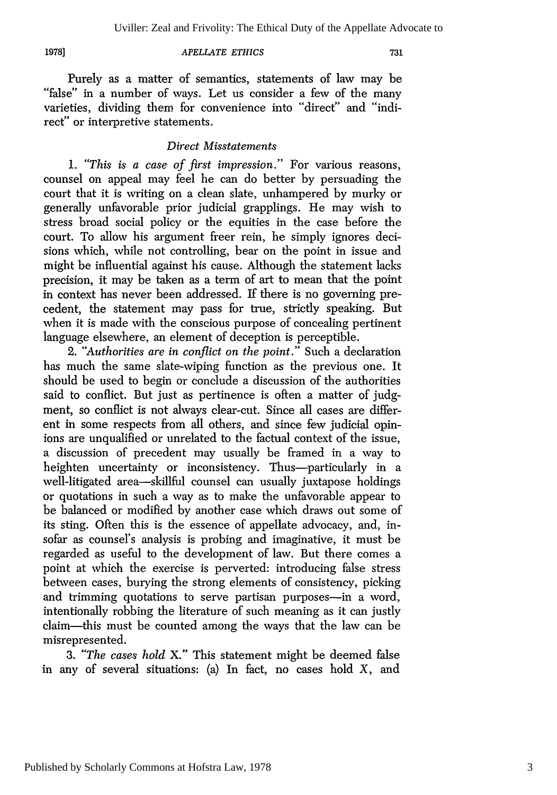**1978]**

# *APELLATE ETHICS*

Purely as a matter of semantics, statements of law may be "false" in a number of ways. Let us consider a few of the many varieties, dividing them for convenience into "direct" and "indirect" or interpretive statements.

# *Direct Misstatements*

*1. "This is a case of first impression."* For various reasons, counsel on appeal may feel he can do better by persuading the court that it is writing on a clean slate, unhampered by murky or generally unfavorable prior judicial grapplings. He may wish to stress broad social policy or the equities in the case before the court. To allow his argument freer rein, he simply ignores decisions which, while not controlling, bear on the point in issue and might be influential against his cause. Although the statement lacks precision, it may be taken as a term of art to mean that the point in context has never been addressed. If there is no governing precedent, the statement may pass for true, strictly speaking. But when it is made with the conscious purpose of concealing pertinent language elsewhere, an element of deception is perceptible.

*2. "Authorities are in conflict on the point."* Such a declaration has much the same slate-wiping function as the previous one. It should be used to begin or conclude a discussion of the authorities said to conflict. But just as pertinence is often a matter of judgment, so conflict is not always clear-cut. Since all cases are different in some respects from all others, and since few judicial opinions are unqualified or unrelated to the factual context of the issue, a discussion of precedent may usually be framed in a way to heighten uncertainty or inconsistency. Thus-particularly in a well-litigated area—skillful counsel can usually juxtapose holdings or quotations in such a way as to make the unfavorable appear to be balanced or modified by another case which draws out some of its sting. Often this is the essence of appellate advocacy, and, insofar as counsel's analysis is probing and imaginative, it must be regarded as useful to the development of law. But there comes a point at which the exercise is perverted: introducing false stress between cases, burying the strong elements of consistency, picking and trimming quotations to serve partisan purposes—in a word, intentionally robbing the literature of such meaning as it can justly claim-this must be counted among the ways that the law can be misrepresented.

3. *"The cases hold* X." This statement might be deemed false in any of several situations: (a) In fact, no cases hold  $X$ , and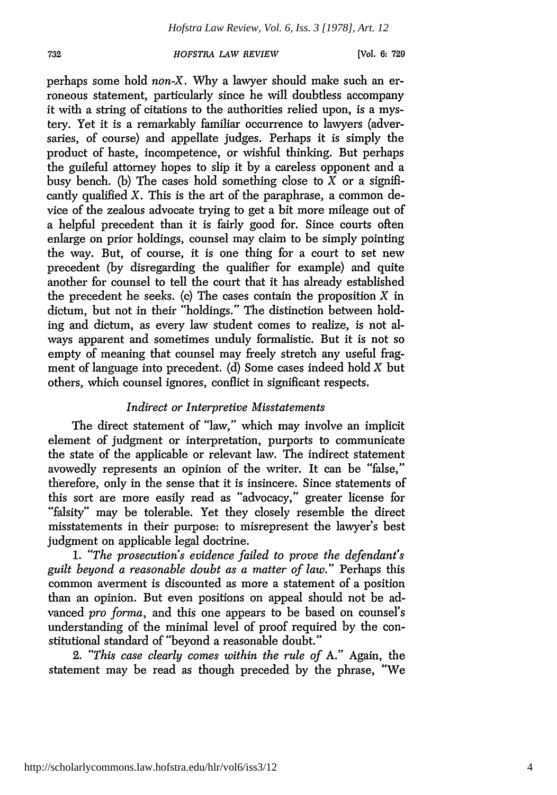732

perhaps some hold *non-X.* Why a lawyer should make such an erroneous statement, particularly since he will doubtless accompany it with a string of citations to the authorities relied upon, is a mystery. Yet it is a remarkably familiar occurrence to lawyers (adversaries, of course) and appellate judges. Perhaps it is simply the product of haste, incompetence, or wishful thinking. But perhaps the guileful attorney hopes to slip it by a careless opponent and a busy bench. (b) The cases hold something close to *X* or a significantly qualified  $X$ . This is the art of the paraphrase, a common device of the zealous advocate trying to get a bit more mileage out of a helpful precedent than it is fairly good for. Since courts often enlarge on prior holdings, counsel may claim to be simply pointing the way. But, of course, it is one thing for a court to set new precedent (by disregarding the qualifier for example) and quite another for counsel to tell the court that it has already established the precedent he seeks. (c) The cases contain the proposition  $X$  in dictum, but not in their "holdings." The distinction between holding and dictum, as every law student comes to realize, is not always apparent and sometimes unduly formalistic. But it is not so empty of meaning that counsel may freely stretch any useful fragment of language into precedent. (d) Some cases indeed hold X but others, which counsel ignores, conflict in significant respects.

# *Indirect or Interpretive Misstatements*

The direct statement of "law," which may involve an implicit element of judgment or interpretation, purports to communicate the state of the applicable or relevant law. The indirect statement avowedly represents an opinion of the writer. It can be "false," therefore, only in the sense that it is insincere. Since statements of this sort are more easily read as "advocacy," greater license for "falsity" may be tolerable. Yet they closely resemble the direct misstatements in their purpose: to misrepresent the lawyer's best judgment on applicable legal doctrine.

*1. "The prosecution's evidence failed to prove the defendant's guilt beyond a reasonable doubt as a matter of law."* Perhaps this common averment is discounted as more a statement of a position than an opinion. But even positions on appeal should not be advanced *pro forma,* and this one appears to be based on counsel's understanding of the minimal level of proof required by the constitutional standard of "beyond a reasonable doubt."

*2. "This case clearly comes within the rule of* A." Again, the statement may be read as though preceded by the phrase, "We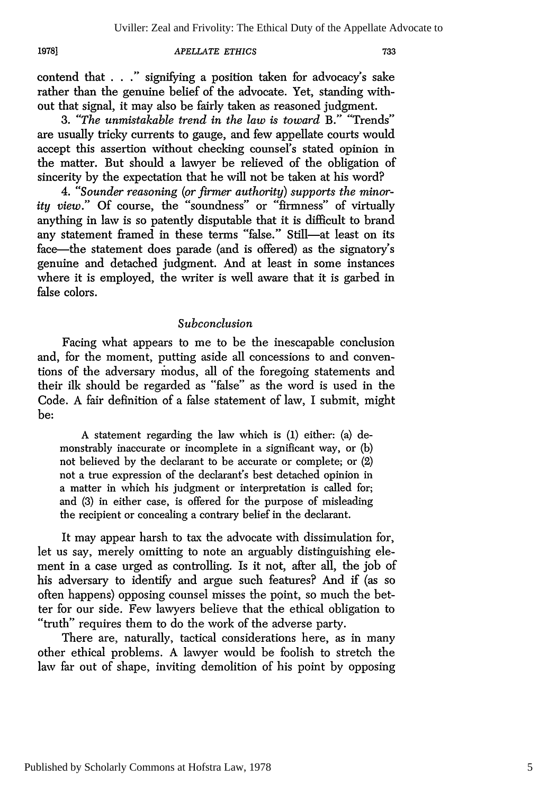**19781**

#### *APELLATE ETHICS*

contend that . . ." signifying a position taken for advocacy's sake rather than the genuine belief of the advocate. Yet, standing without that signal, it may also be fairly taken as reasoned judgment.

*3. "The unmistakable trend in the law is toward* B." "Trends" are usually tricky currents to gauge, and few appellate courts would accept this assertion without checking counsel's stated opinion in the matter. But should a lawyer be relieved of the obligation of sincerity by the expectation that he will not be taken at his word?

*4. "Sounder reasoning (or firmer authority) supports the minority view."* Of course, the "soundness" or "firmness" of virtually anything in law is so patently disputable that it is difficult to brand any statement framed in these terms "false." Still-at least on its face—the statement does parade (and is offered) as the signatory's genuine and detached judgment. And at least in some instances where it is employed, the writer is well aware that it is garbed in false colors.

# *Subconclusion*

Facing what appears to me to be the inescapable conclusion and, for the moment, putting aside all concessions to and conventions of the adversary modus, all of the foregoing statements and their ilk should be regarded as "false" as the word is used in the Code. A fair definition of a false statement of law, I submit, might be:

A statement regarding the law which is (1) either: (a) demonstrably inaccurate or incomplete in a significant way, or (b) not believed by the declarant to be accurate or complete; or (2) not a true expression of the declarant's best detached opinion in a matter in which his judgment or interpretation is called for; and (3) in either case, is offered for the purpose of misleading the recipient or concealing a contrary belief in the declarant.

It may appear harsh to tax the advocate with dissimulation for, let us say, merely omitting to note an arguably distinguishing element in a case urged as controlling. Is it not, after all, the job of his adversary to identify and argue such features? And if (as so often happens) opposing counsel misses the point, so much the better for our side. Few lawyers believe that the ethical obligation to "truth" requires them to do the work of the adverse party.

There are, naturally, tactical considerations here, as in many other ethical problems. A lawyer would be foolish to stretch the law far out of shape, inviting demolition of his point by opposing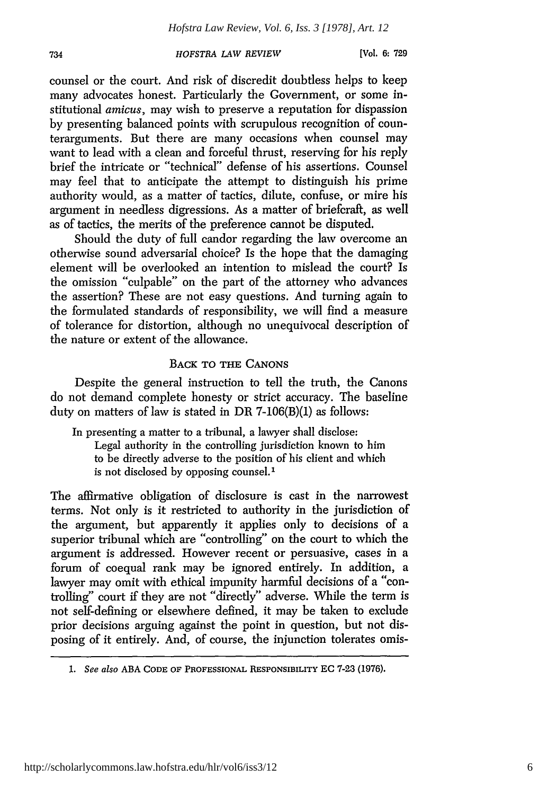734

[Vol. **6: 729**

counsel or the court. And risk of discredit doubtless helps to keep many advocates honest. Particularly the Government, or some institutional *amicus,* may wish to preserve a reputation for dispassion by presenting balanced points with scrupulous recognition of counterarguments. But there are many occasions when counsel may want to lead with a clean and forceful thrust, reserving for his reply brief the intricate or "technical" defense of his assertions. Counsel may feel that to anticipate the attempt to distinguish his prime authority would, as a matter of tactics, dilute, confuse, or mire his argument in needless digressions. As a matter of briefcraft, as well as of tactics, the merits of the preference cannot be disputed.

Should the duty of full candor regarding the law overcome an otherwise sound adversarial choice? Is the hope that the damaging element will be overlooked an intention to mislead the court? Is the omission "culpable" on the part of the attorney who advances the assertion? These are not easy questions. And turning again to the formulated standards of responsibility, we will find a measure of tolerance for distortion, although no unequivocal description of the nature or extent of the allowance.

#### BACK TO THE CANONS

Despite the general instruction to tell the truth, the Canons do not demand complete honesty or strict accuracy. The baseline duty on matters of law is stated in DR 7-106(B)(1) as follows:

In presenting a matter to a tribunal, a lawyer shall disclose: Legal authority in the controlling jurisdiction known to him to be directly adverse to the position of his client and which is not disclosed by opposing counsel.'

The affirmative obligation of disclosure is cast in the narrowest terms. Not only is it restricted to authority in the jurisdiction of the argument, but apparently it applies only to decisions of a superior tribunal which are "controlling" on the court to which the argument is addressed. However recent or persuasive, cases in a forum of coequal rank may be ignored entirely. In addition, a lawyer may omit with ethical impunity harmful decisions of a "controlling" court if they are not "directly" adverse. While the term is not self-defining or elsewhere defined, it may be taken to exclude prior decisions arguing against the point in question, but not disposing of it entirely. And, of course, the injunction tolerates omis-

*<sup>1.</sup> See also* **ABA CODE** OF PROFESSIONAL **RESPONSIBILITY EC** 7-23 **(1976).**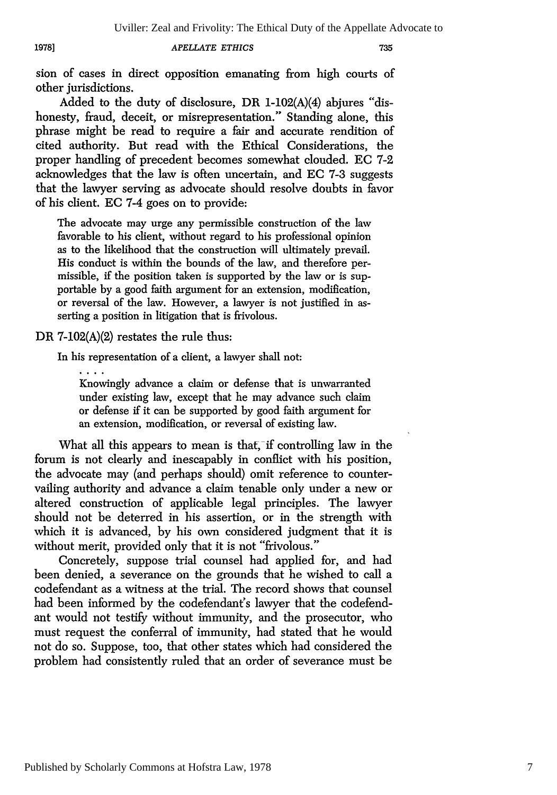## *APELLATE ETHICS*

**1978]**

735

sion of cases in direct opposition emanating from high courts of other jurisdictions.

Added to the duty of disclosure, DR 1-102(A)(4) abjures "dishonesty, fraud, deceit, or misrepresentation." Standing alone, this phrase might be read to require a fair and accurate rendition of cited authority. But read with the Ethical Considerations, the proper handling of precedent becomes somewhat clouded. EC 7-2 acknowledges that the law is often uncertain, and EC 7-3 suggests that the lawyer serving as advocate should resolve doubts in favor of his client. **EC** 7-4 goes on to provide:

The advocate may urge any permissible construction of the law favorable to his client, without regard to his professional opinion as to the likelihood that the construction will ultimately prevail. His conduct is within the bounds of the law, and therefore permissible, if the position taken is supported by the law or is supportable by a good faith argument for an extension, modification, or reversal of the law. However, a lawyer is not justified in asserting a position in litigation that is frivolous.

# DR 7-102(A)(2) restates the rule thus:

In his representation of a client, a lawyer shall not:

Knowingly advance a claim or defense that is unwarranted under existing law, except that he may advance such claim or defense if it can be supported by good faith argument for an extension, modification, or reversal of existing law.

What all this appears to mean is that, if controlling law in the forum is not clearly and inescapably in conflict with his position, the advocate may (and perhaps should) omit reference to countervailing authority and advance a claim tenable only under a new or altered construction of applicable legal principles. The lawyer should not be deterred in his assertion, or in the strength with which it is advanced, by his own considered judgment that it is without merit, provided only that it is not "frivolous."

Concretely, suppose trial counsel had applied for, and had been denied, a severance on the grounds that he wished to call a codefendant as a witness at the trial. The record shows that counsel had been informed by the codefendant's lawyer that the codefendant would not testify without immunity, and the prosecutor, who must request the conferral of immunity, had stated that he would not do so. Suppose, too, that other states which had considered the problem had consistently ruled that an order of severance must be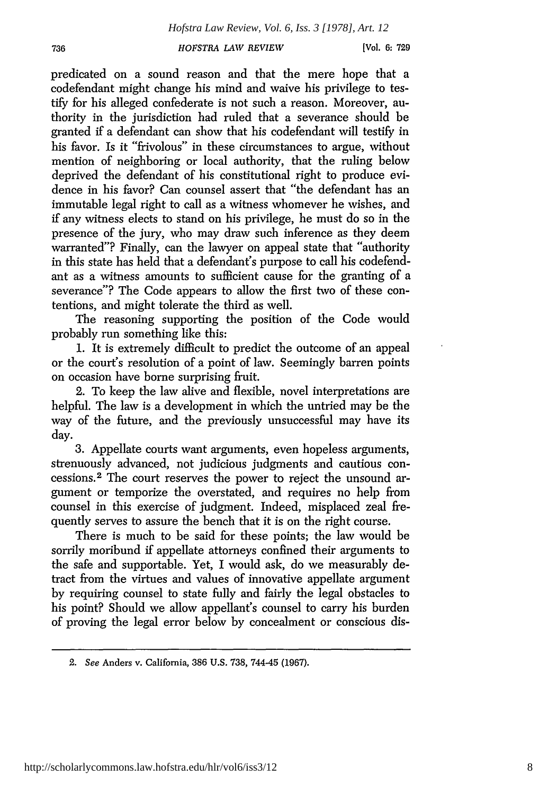736

[Vol. **6: 729**

predicated on a sound reason and that the mere hope that a codefendant might change his mind and waive his privilege to testify for his alleged confederate is not such a reason. Moreover, authority in the jurisdiction had ruled that a severance should be granted if a defendant can show that his codefendant will testify in his favor. Is it "frivolous" in these circumstances to argue, without mention of neighboring or local authority, that the ruling below deprived the defendant of his constitutional right to produce evidence in his favor? Can counsel assert that "the defendant has an immutable legal right to call as a witness whomever he wishes, and if any witness elects to stand on his privilege, he must do so in the presence of the jury, who may draw such inference as they deem warranted"? Finally, can the lawyer on appeal state that "authority in this state has held that a defendant's purpose to call his codefendant as a witness amounts to sufficient cause for the granting of a severance"? The Code appears to allow the first two of these contentions, and might tolerate the third as well.

The reasoning supporting the position of the Code would probably run something like this:

**1.** It is extremely difficult to predict the outcome of an appeal or the court's resolution of a point of law. Seemingly barren points on occasion have borne surprising fruit.

2. To keep the law alive and flexible, novel interpretations are helpful. The law is a development in which the untried may be the way of the future, and the previously unsuccessful may have its day.

3. Appellate courts want arguments, even hopeless arguments, strenuously advanced, not judicious judgments and cautious concessions. 2 The court reserves the power to reject the unsound argument or temporize the overstated, and requires no help from counsel in this exercise of judgment. Indeed, misplaced zeal frequently serves to assure the bench that it is on the right course.

There is much to be said for these points; the law would be sorrily moribund if appellate attorneys confined their arguments to the safe and supportable. Yet, I would ask, do we measurably detract from the virtues and values of innovative appellate argument by requiring counsel to state fully and fairly the legal obstacles to his point? Should we allow appellant's counsel to carry his burden of proving the legal error below by concealment or conscious dis-

*<sup>2.</sup> See* Anders v. California, 386 U.S. 738, 744-45 (1967).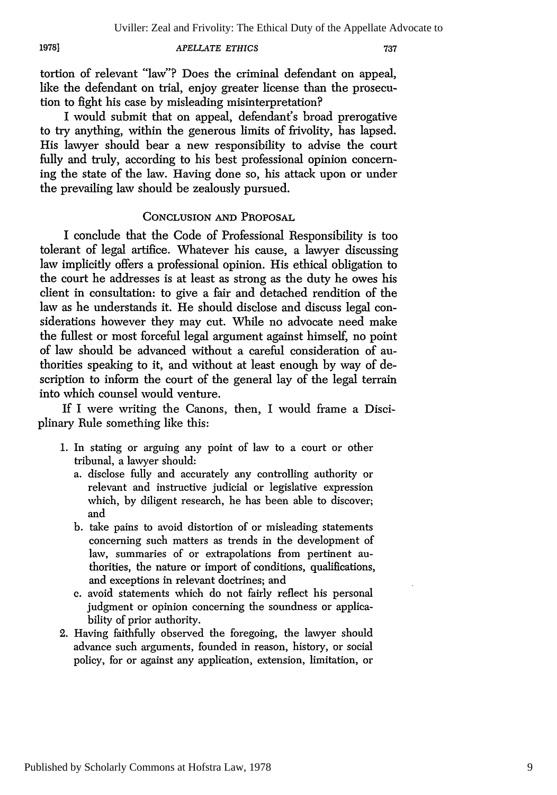*APELLATE ETHICS*

tortion of relevant "law"? Does the criminal defendant on appeal, like the defendant on trial, enjoy greater license than the prosecution to fight his case by misleading misinterpretation?

I would submit that on appeal, defendant's broad prerogative to try anything, within the generous limits of frivolity, has lapsed. His lawyer should bear a new responsibility to advise the court fully and truly, according to his best professional opinion concerning the state of the law. Having done so, his attack upon or under the prevailing law should be zealously pursued.

# **CONCLUSION AND** PROPOSAL

I conclude that the Code of Professional Responsibility is too tolerant of legal artifice. Whatever his cause, a lawyer discussing law implicitly offers a professional opinion. His ethical obligation to the court he addresses is at least as strong as the duty he owes his client in consultation: to give a fair and detached rendition of the law as he understands it. He should disclose and discuss legal considerations however they may cut. While no advocate need make the fullest or most forceful legal argument against himself, no point of law should be advanced without a careful consideration of authorities speaking to it, and without at least enough by way of description to inform the court of the general lay of the legal terrain into which counsel would venture.

If I were writing the Canons, then, I would frame a Disciplinary Rule something like this:

- 1. In stating or arguing any point of law to a court or other tribunal, a lavyer should:
	- a. disclose fully and accurately any controlling authority or relevant and instructive judicial or legislative expression which, by diligent research, he has been able to discover; and
	- b. take pains to avoid distortion of or misleading statements concerning such matters as trends in the development of lav, summaries of or extrapolations from pertinent authorities, the nature or import of conditions, qualifications, and exceptions in relevant doctrines; and
	- c. avoid statements which do not fairly reflect his personal judgment or opinion concerning the soundness or applicability of prior authority.
- 2. Having faithfully observed the foregoing, the lawyer should advance such arguments, founded in reason, history, or social policy, for or against any application, extension, limitation, or

**19781**